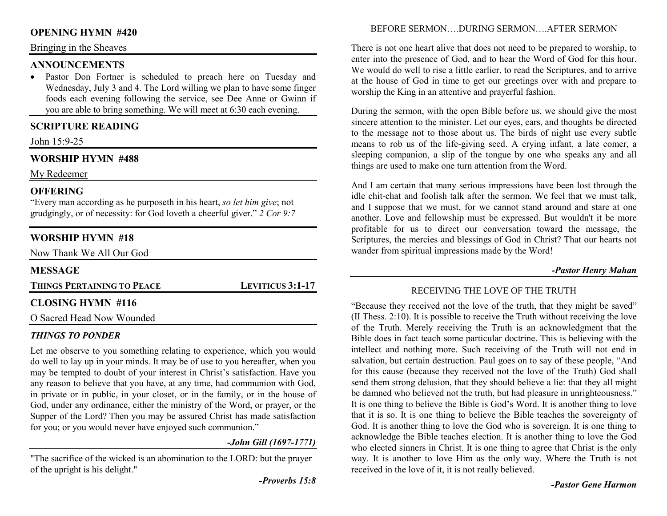#### **OPENING HYMN #420**

Bringing in the Sheaves

#### **ANNOUNCEMENTS**

 Pastor Don Fortner is scheduled to preach here on Tuesday and •Wednesday, July 3 and 4. The Lord willing we plan to have some finger foods each evening following the service, see Dee Anne or Gwinn if you are able to bring something. We will meet at 6:30 each evening.

#### **SCRIPTURE READING**

John 15:9-25

#### **WORSHIP HYMN #488**

My Redeemer

#### **OFFERING**

 "Every man according as he purposeth in his heart, *so let him give*; not grudgingly, or of necessity: for God loveth a cheerful giver." *2 Cor 9:7*

### **WORSHIP HYMN #18**

Now Thank We All Our God

#### **MESSAGE**

**THINGS PERTAINING TO PEACE**

**LEVITICUS 3:1-17** 

# **CLOSING HYMN #116**

O Sacred Head Now Wounded

#### *THINGS TO PONDER*

 Let me observe to you something relating to experience, which you would do well to lay up in your minds. It may be of use to you hereafter, when you may be tempted to doubt of your interest in Christ's satisfaction. Have you any reason to believe that you have, at any time, had communion with God, in private or in public, in your closet, or in the family, or in the house of God, under any ordinance, either the ministry of the Word, or prayer, or the Supper of the Lord? Then you may be assured Christ has made satisfaction for you; or you would never have enjoyed such communion."

#### *-John Gill (1697-1771)*

"The sacrifice of the wicked is an abomination to the LORD: but the prayer of the upright is his delight."

#### BEFORE SERMON….DURING SERMON….AFTER SERMON

There is not one heart alive that does not need to be prepared to worship, to enter into the presence of God, and to hear the Word of God for this hour. We would do well to rise a little earlier, to read the Scriptures, and to arrive at the house of God in time to get our greetings over with and prepare to worship the King in an attentive and prayerful fashion.

During the sermon, with the open Bible before us, we should give the most sincere attention to the minister. Let our eyes, ears, and thoughts be directed to the message not to those about us. The birds of night use every subtle means to rob us of the life-giving seed. A crying infant, a late comer, a sleeping companion, a slip of the tongue by one who speaks any and all things are used to make one turn attention from the Word.

And I am certain that many serious impressions have been lost through the idle chit-chat and foolish talk after the sermon. We feel that we must talk, and I suppose that we must, for we cannot stand around and stare at one another. Love and fellowship must be expressed. But wouldn't it be more profitable for us to direct our conversation toward the message, the Scriptures, the mercies and blessings of God in Christ? That our hearts not wander from spiritual impressions made by the Word!

#### *-Pastor Henry Mahan*

#### RECEIVING THE LOVE OF THE TRUTH

"Because they received not the love of the truth, that they might be saved" (II Thess. 2:10). It is possible to receive the Truth without receiving the love of the Truth. Merely receiving the Truth is an acknowledgment that the Bible does in fact teach some particular doctrine. This is believing with the intellect and nothing more. Such receiving of the Truth will not end in salvation, but certain destruction. Paul goes on to say of these people, "And for this cause (because they received not the love of the Truth) God shall send them strong delusion, that they should believe a lie: that they all might be damned who believed not the truth, but had pleasure in unrighteousness." It is one thing to believe the Bible is God's Word. It is another thing to love that it is so. It is one thing to believe the Bible teaches the sovereignty of God. It is another thing to love the God who is sovereign. It is one thing to acknowledge the Bible teaches election. It is another thing to love the God who elected sinners in Christ. It is one thing to agree that Christ is the only way. It is another to love Him as the only way. Where the Truth is not received in the love of it, it is not really believed.